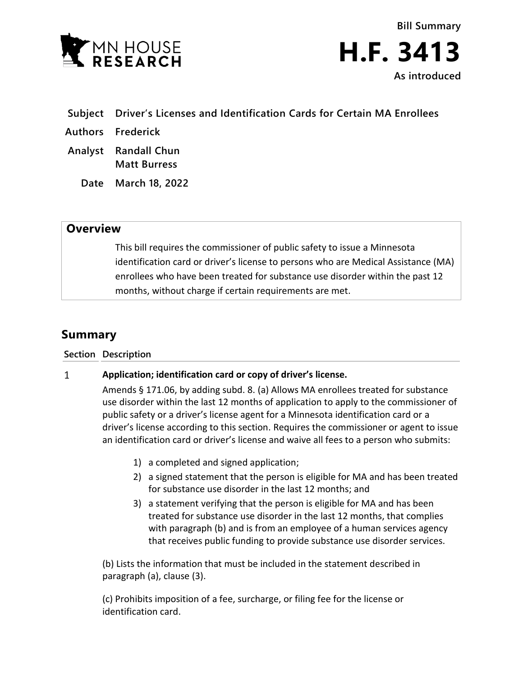

**Bill Summary H.F. 3413 As introduced**

- **Subject Driver's Licenses and Identification Cards for Certain MA Enrollees**
- **Authors Frederick**
- **Analyst Randall Chun Matt Burress**
	- **Date March 18, 2022**

## **Overview**

This bill requires the commissioner of public safety to issue a Minnesota identification card or driver's license to persons who are Medical Assistance (MA) enrollees who have been treated for substance use disorder within the past 12 months, without charge if certain requirements are met.

## **Summary**

## **Section Description**

## $\mathbf{1}$ **Application; identification card or copy of driver's license.**

Amends § 171.06, by adding subd. 8. (a) Allows MA enrollees treated for substance use disorder within the last 12 months of application to apply to the commissioner of public safety or a driver's license agent for a Minnesota identification card or a driver's license according to this section. Requires the commissioner or agent to issue an identification card or driver's license and waive all fees to a person who submits:

- 1) a completed and signed application;
- 2) a signed statement that the person is eligible for MA and has been treated for substance use disorder in the last 12 months; and
- 3) a statement verifying that the person is eligible for MA and has been treated for substance use disorder in the last 12 months, that complies with paragraph (b) and is from an employee of a human services agency that receives public funding to provide substance use disorder services.

(b) Lists the information that must be included in the statement described in paragraph (a), clause (3).

(c) Prohibits imposition of a fee, surcharge, or filing fee for the license or identification card.